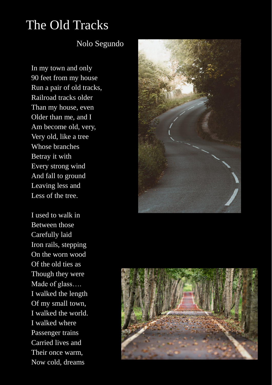## The Old Tracks

## Nolo Segundo

In my town and only 90 feet from my house Run a pair of old tracks, Railroad tracks older Than my house, even Older than me, and I Am become old, very, Very old, like a tree Whose branches Betray it with Every strong wind And fall to ground Leaving less and Less of the tree.

I used to walk in Between those Carefully laid Iron rails, stepping On the worn wood Of the old ties as Though they were Made of glass…. I walked the length Of my small town, I walked the world. I walked where Passenger trains Carried lives and Their once warm, Now cold, dreams